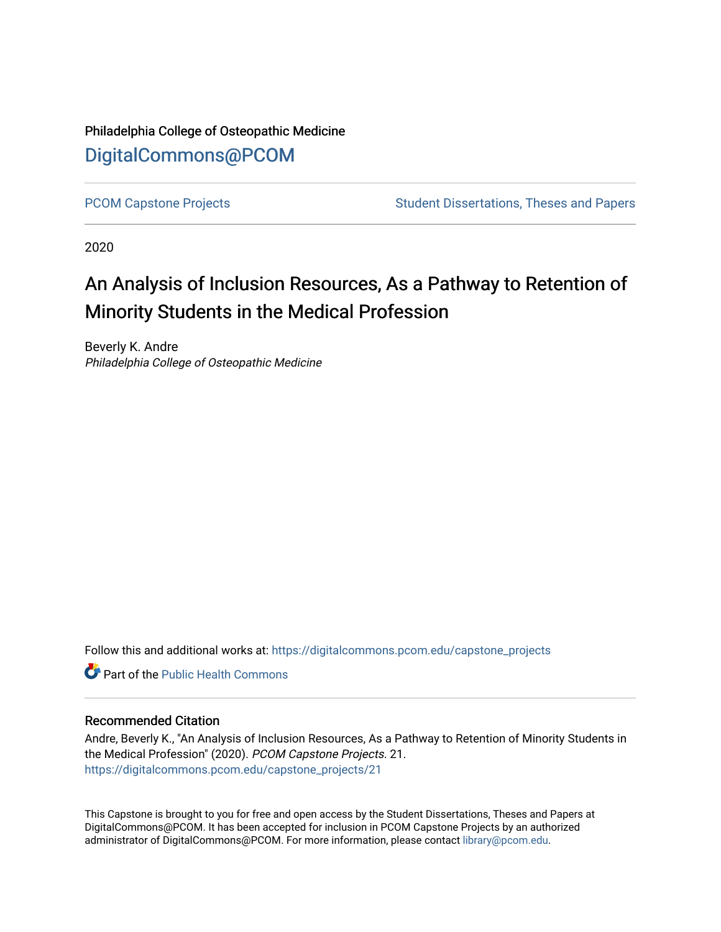Philadelphia College of Osteopathic Medicine [DigitalCommons@PCOM](https://digitalcommons.pcom.edu/) 

[PCOM Capstone Projects](https://digitalcommons.pcom.edu/capstone_projects) **Student Dissertations, Theses and Papers** Student Dissertations, Theses and Papers

2020

## An Analysis of Inclusion Resources, As a Pathway to Retention of Minority Students in the Medical Profession

Beverly K. Andre Philadelphia College of Osteopathic Medicine

Follow this and additional works at: [https://digitalcommons.pcom.edu/capstone\\_projects](https://digitalcommons.pcom.edu/capstone_projects?utm_source=digitalcommons.pcom.edu%2Fcapstone_projects%2F21&utm_medium=PDF&utm_campaign=PDFCoverPages)

**C** Part of the Public Health Commons

#### Recommended Citation

Andre, Beverly K., "An Analysis of Inclusion Resources, As a Pathway to Retention of Minority Students in the Medical Profession" (2020). PCOM Capstone Projects. 21. [https://digitalcommons.pcom.edu/capstone\\_projects/21](https://digitalcommons.pcom.edu/capstone_projects/21?utm_source=digitalcommons.pcom.edu%2Fcapstone_projects%2F21&utm_medium=PDF&utm_campaign=PDFCoverPages) 

This Capstone is brought to you for free and open access by the Student Dissertations, Theses and Papers at DigitalCommons@PCOM. It has been accepted for inclusion in PCOM Capstone Projects by an authorized administrator of DigitalCommons@PCOM. For more information, please contact [library@pcom.edu.](mailto:library@pcom.edu)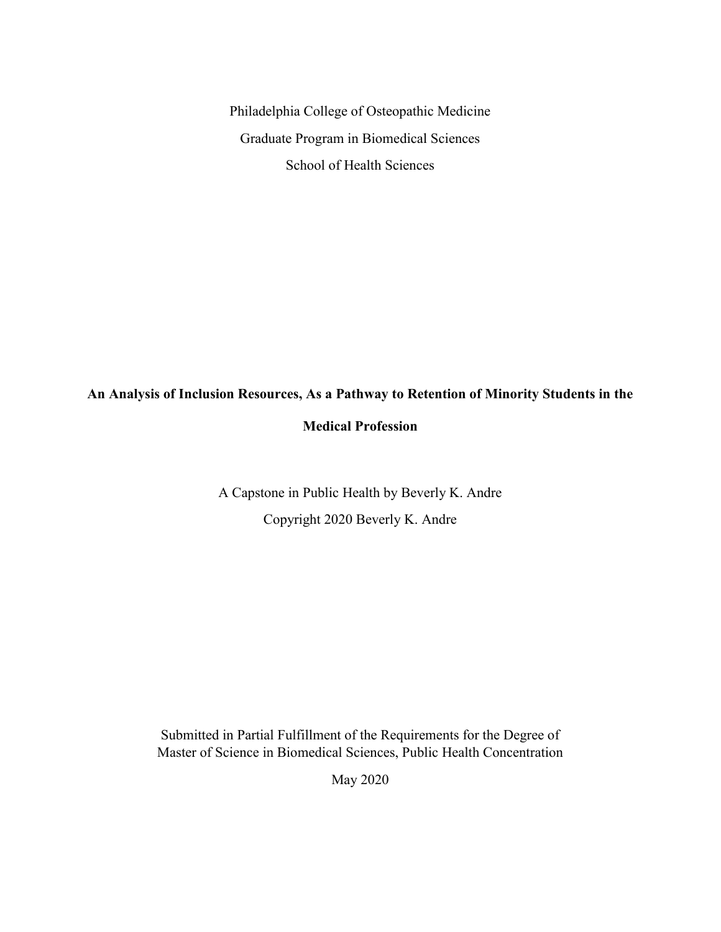Philadelphia College of Osteopathic Medicine Graduate Program in Biomedical Sciences School of Health Sciences

# **An Analysis of Inclusion Resources, As a Pathway to Retention of Minority Students in the**

#### **Medical Profession**

A Capstone in Public Health by Beverly K. Andre Copyright 2020 Beverly K. Andre

Submitted in Partial Fulfillment of the Requirements for the Degree of Master of Science in Biomedical Sciences, Public Health Concentration

May 2020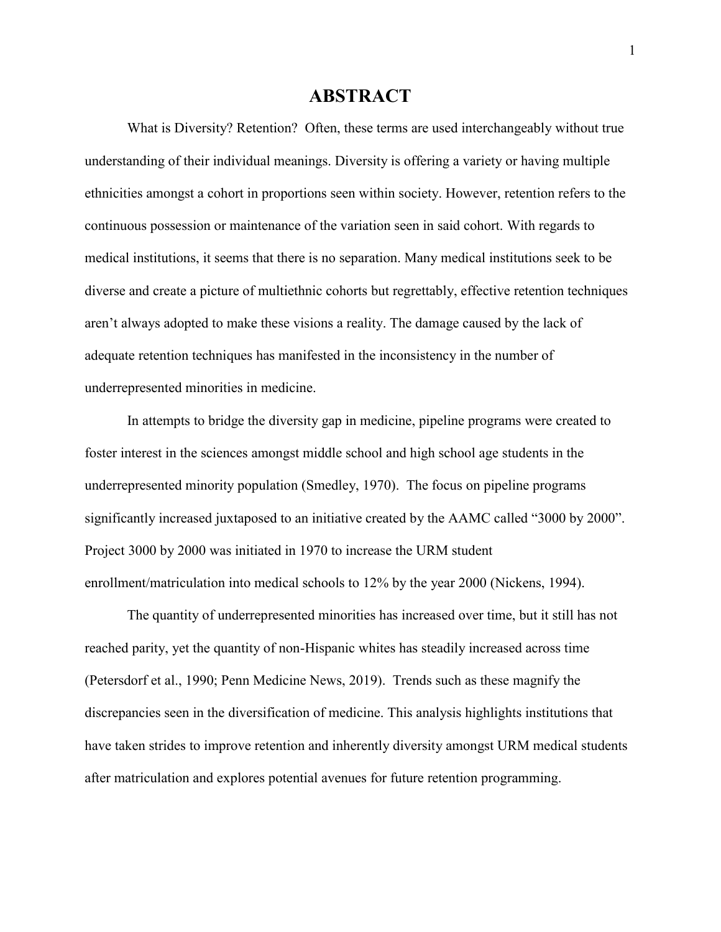### **ABSTRACT**

What is Diversity? Retention? Often, these terms are used interchangeably without true understanding of their individual meanings. Diversity is offering a variety or having multiple ethnicities amongst a cohort in proportions seen within society. However, retention refers to the continuous possession or maintenance of the variation seen in said cohort. With regards to medical institutions, it seems that there is no separation. Many medical institutions seek to be diverse and create a picture of multiethnic cohorts but regrettably, effective retention techniques aren't always adopted to make these visions a reality. The damage caused by the lack of adequate retention techniques has manifested in the inconsistency in the number of underrepresented minorities in medicine.

In attempts to bridge the diversity gap in medicine, pipeline programs were created to foster interest in the sciences amongst middle school and high school age students in the underrepresented minority population (Smedley, 1970). The focus on pipeline programs significantly increased juxtaposed to an initiative created by the AAMC called "3000 by 2000". Project 3000 by 2000 was initiated in 1970 to increase the URM student enrollment/matriculation into medical schools to 12% by the year 2000 (Nickens, 1994).

The quantity of underrepresented minorities has increased over time, but it still has not reached parity, yet the quantity of non-Hispanic whites has steadily increased across time (Petersdorf et al., 1990; Penn Medicine News, 2019). Trends such as these magnify the discrepancies seen in the diversification of medicine. This analysis highlights institutions that have taken strides to improve retention and inherently diversity amongst URM medical students after matriculation and explores potential avenues for future retention programming.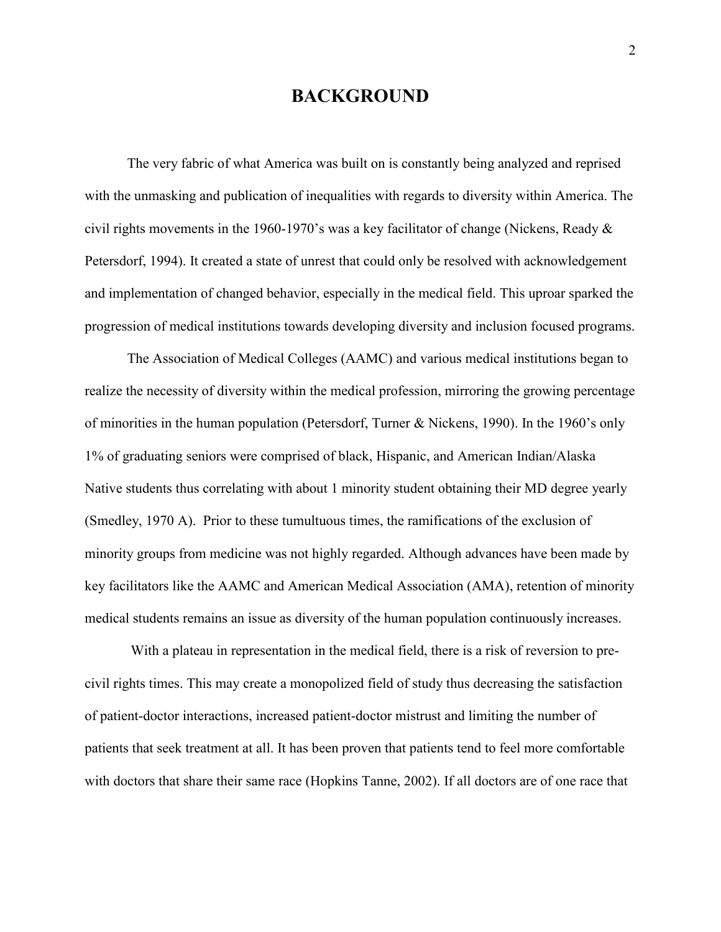## **BACKGROUND**

The very fabric of what America was built on is constantly being analyzed and reprised with the unmasking and publication of inequalities with regards to diversity within America. The civil rights movements in the 1960-1970's was a key facilitator of change (Nickens, Ready & Petersdorf, 1994). It created a state of unrest that could only be resolved with acknowledgement and implementation of changed behavior, especially in the medical field. This uproar sparked the progression of medical institutions towards developing diversity and inclusion focused programs.

The Association of Medical Colleges (AAMC) and various medical institutions began to realize the necessity of diversity within the medical profession, mirroring the growing percentage of minorities in the human population (Petersdorf, Turner & Nickens, 1990). In the 1960's only 1% of graduating seniors were comprised of black, Hispanic, and American Indian/Alaska Native students thus correlating with about 1 minority student obtaining their MD degree yearly (Smedley, 1970 A). Prior to these tumultuous times, the ramifications of the exclusion of minority groups from medicine was not highly regarded. Although advances have been made by key facilitators like the AAMC and American Medical Association (AMA), retention of minority medical students remains an issue as diversity of the human population continuously increases.

With a plateau in representation in the medical field, there is a risk of reversion to precivil rights times. This may create a monopolized field of study thus decreasing the satisfaction of patient-doctor interactions, increased patient-doctor mistrust and limiting the number of patients that seek treatment at all. It has been proven that patients tend to feel more comfortable with doctors that share their same race (Hopkins Tanne, 2002). If all doctors are of one race that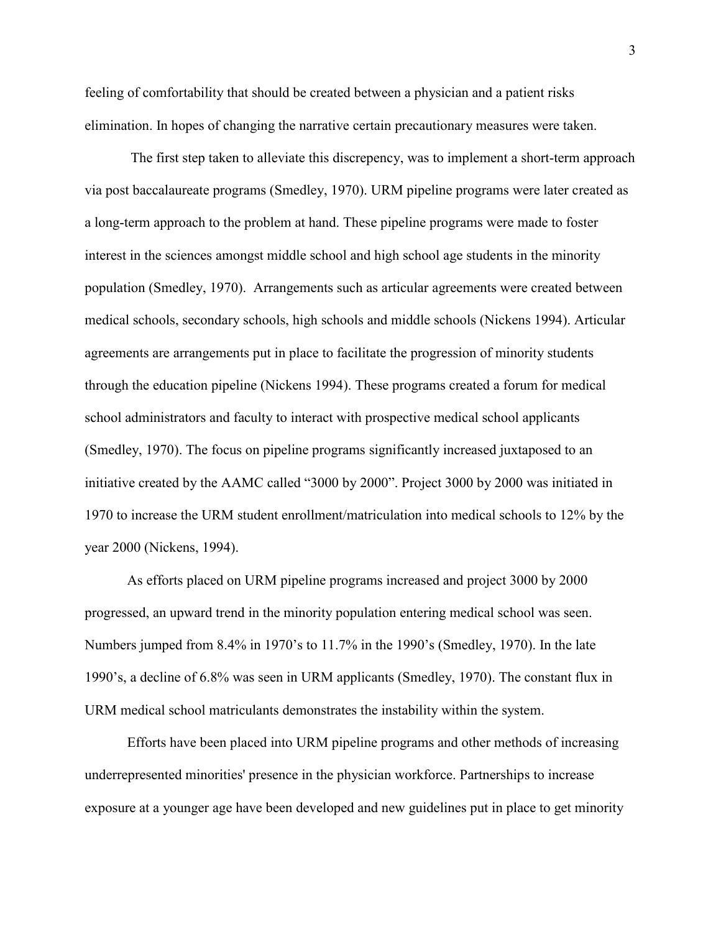feeling of comfortability that should be created between a physician and a patient risks elimination. In hopes of changing the narrative certain precautionary measures were taken.

The first step taken to alleviate this discrepency, was to implement a short-term approach via post baccalaureate programs (Smedley, 1970). URM pipeline programs were later created as a long-term approach to the problem at hand. These pipeline programs were made to foster interest in the sciences amongst middle school and high school age students in the minority population (Smedley, 1970). Arrangements such as articular agreements were created between medical schools, secondary schools, high schools and middle schools (Nickens 1994). Articular agreements are arrangements put in place to facilitate the progression of minority students through the education pipeline (Nickens 1994). These programs created a forum for medical school administrators and faculty to interact with prospective medical school applicants (Smedley, 1970). The focus on pipeline programs significantly increased juxtaposed to an initiative created by the AAMC called "3000 by 2000". Project 3000 by 2000 was initiated in 1970 to increase the URM student enrollment/matriculation into medical schools to 12% by the year 2000 (Nickens, 1994).

As efforts placed on URM pipeline programs increased and project 3000 by 2000 progressed, an upward trend in the minority population entering medical school was seen. Numbers jumped from 8.4% in 1970's to 11.7% in the 1990's (Smedley, 1970). In the late 1990's, a decline of 6.8% was seen in URM applicants (Smedley, 1970). The constant flux in URM medical school matriculants demonstrates the instability within the system.

Efforts have been placed into URM pipeline programs and other methods of increasing underrepresented minorities' presence in the physician workforce. Partnerships to increase exposure at a younger age have been developed and new guidelines put in place to get minority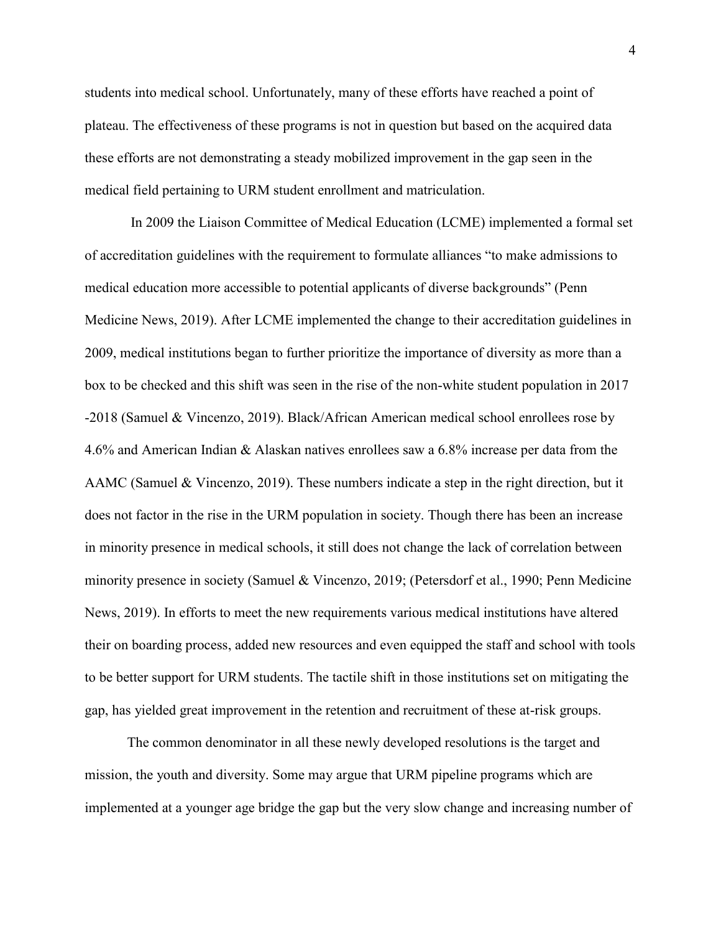students into medical school. Unfortunately, many of these efforts have reached a point of plateau. The effectiveness of these programs is not in question but based on the acquired data these efforts are not demonstrating a steady mobilized improvement in the gap seen in the medical field pertaining to URM student enrollment and matriculation.

In 2009 the Liaison Committee of Medical Education (LCME) implemented a formal set of accreditation guidelines with the requirement to formulate alliances "to make admissions to medical education more accessible to potential applicants of diverse backgrounds" (Penn Medicine News, 2019). After LCME implemented the change to their accreditation guidelines in 2009, medical institutions began to further prioritize the importance of diversity as more than a box to be checked and this shift was seen in the rise of the non-white student population in 2017 -2018 (Samuel & Vincenzo, 2019). Black/African American medical school enrollees rose by 4.6% and American Indian & Alaskan natives enrollees saw a 6.8% increase per data from the AAMC (Samuel & Vincenzo, 2019). These numbers indicate a step in the right direction, but it does not factor in the rise in the URM population in society. Though there has been an increase in minority presence in medical schools, it still does not change the lack of correlation between minority presence in society (Samuel & Vincenzo, 2019; (Petersdorf et al., 1990; Penn Medicine News, 2019). In efforts to meet the new requirements various medical institutions have altered their on boarding process, added new resources and even equipped the staff and school with tools to be better support for URM students. The tactile shift in those institutions set on mitigating the gap, has yielded great improvement in the retention and recruitment of these at-risk groups.

The common denominator in all these newly developed resolutions is the target and mission, the youth and diversity. Some may argue that URM pipeline programs which are implemented at a younger age bridge the gap but the very slow change and increasing number of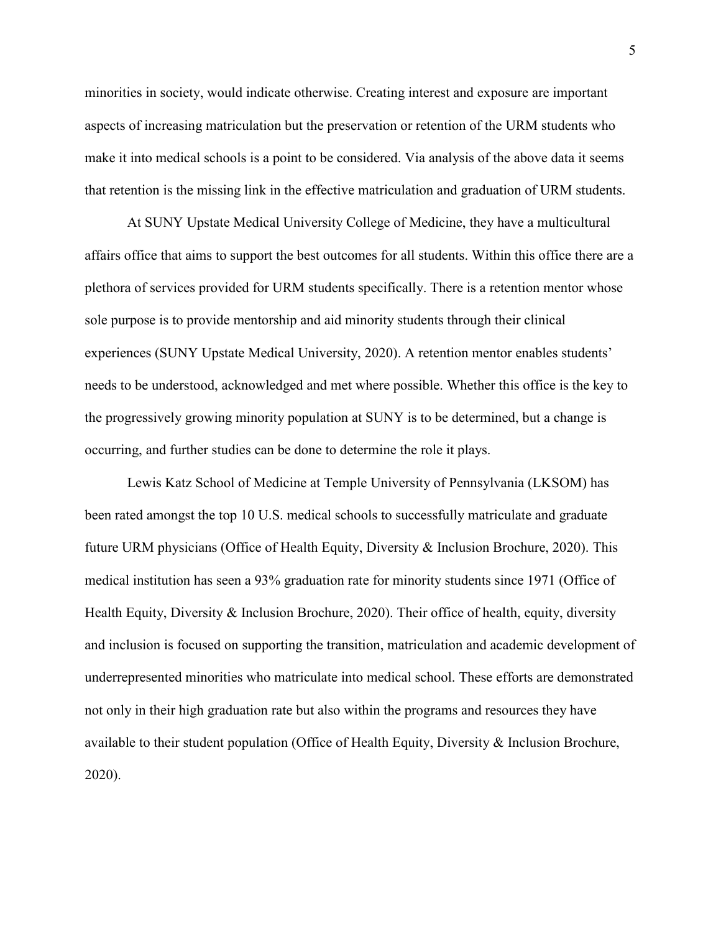minorities in society, would indicate otherwise. Creating interest and exposure are important aspects of increasing matriculation but the preservation or retention of the URM students who make it into medical schools is a point to be considered. Via analysis of the above data it seems that retention is the missing link in the effective matriculation and graduation of URM students.

At SUNY Upstate Medical University College of Medicine, they have a multicultural affairs office that aims to support the best outcomes for all students. Within this office there are a plethora of services provided for URM students specifically. There is a retention mentor whose sole purpose is to provide mentorship and aid minority students through their clinical experiences (SUNY Upstate Medical University, 2020). A retention mentor enables students' needs to be understood, acknowledged and met where possible. Whether this office is the key to the progressively growing minority population at SUNY is to be determined, but a change is occurring, and further studies can be done to determine the role it plays.

Lewis Katz School of Medicine at Temple University of Pennsylvania (LKSOM) has been rated amongst the top 10 U.S. medical schools to successfully matriculate and graduate future URM physicians (Office of Health Equity, Diversity & Inclusion Brochure, 2020). This medical institution has seen a 93% graduation rate for minority students since 1971 (Office of Health Equity, Diversity & Inclusion Brochure, 2020). Their office of health, equity, diversity and inclusion is focused on supporting the transition, matriculation and academic development of underrepresented minorities who matriculate into medical school. These efforts are demonstrated not only in their high graduation rate but also within the programs and resources they have available to their student population (Office of Health Equity, Diversity & Inclusion Brochure, 2020).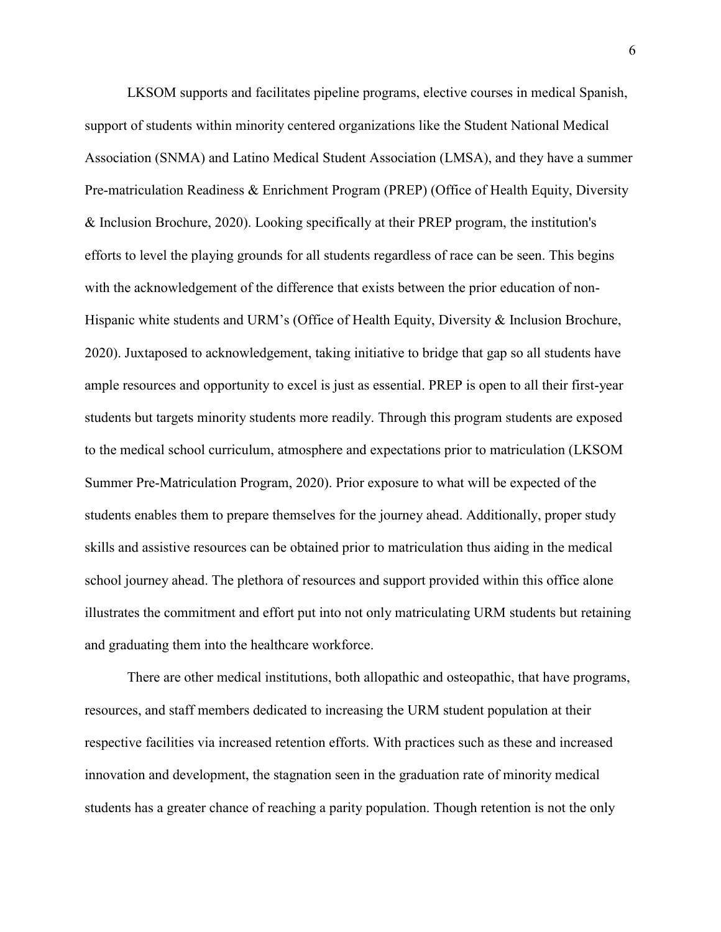LKSOM supports and facilitates pipeline programs, elective courses in medical Spanish, support of students within minority centered organizations like the Student National Medical Association (SNMA) and Latino Medical Student Association (LMSA), and they have a summer Pre-matriculation Readiness & Enrichment Program (PREP) (Office of Health Equity, Diversity & Inclusion Brochure, 2020). Looking specifically at their PREP program, the institution's efforts to level the playing grounds for all students regardless of race can be seen. This begins with the acknowledgement of the difference that exists between the prior education of non-Hispanic white students and URM's (Office of Health Equity, Diversity & Inclusion Brochure, 2020). Juxtaposed to acknowledgement, taking initiative to bridge that gap so all students have ample resources and opportunity to excel is just as essential. PREP is open to all their first-year students but targets minority students more readily. Through this program students are exposed to the medical school curriculum, atmosphere and expectations prior to matriculation (LKSOM Summer Pre-Matriculation Program, 2020). Prior exposure to what will be expected of the students enables them to prepare themselves for the journey ahead. Additionally, proper study skills and assistive resources can be obtained prior to matriculation thus aiding in the medical school journey ahead. The plethora of resources and support provided within this office alone illustrates the commitment and effort put into not only matriculating URM students but retaining and graduating them into the healthcare workforce.

There are other medical institutions, both allopathic and osteopathic, that have programs, resources, and staff members dedicated to increasing the URM student population at their respective facilities via increased retention efforts. With practices such as these and increased innovation and development, the stagnation seen in the graduation rate of minority medical students has a greater chance of reaching a parity population. Though retention is not the only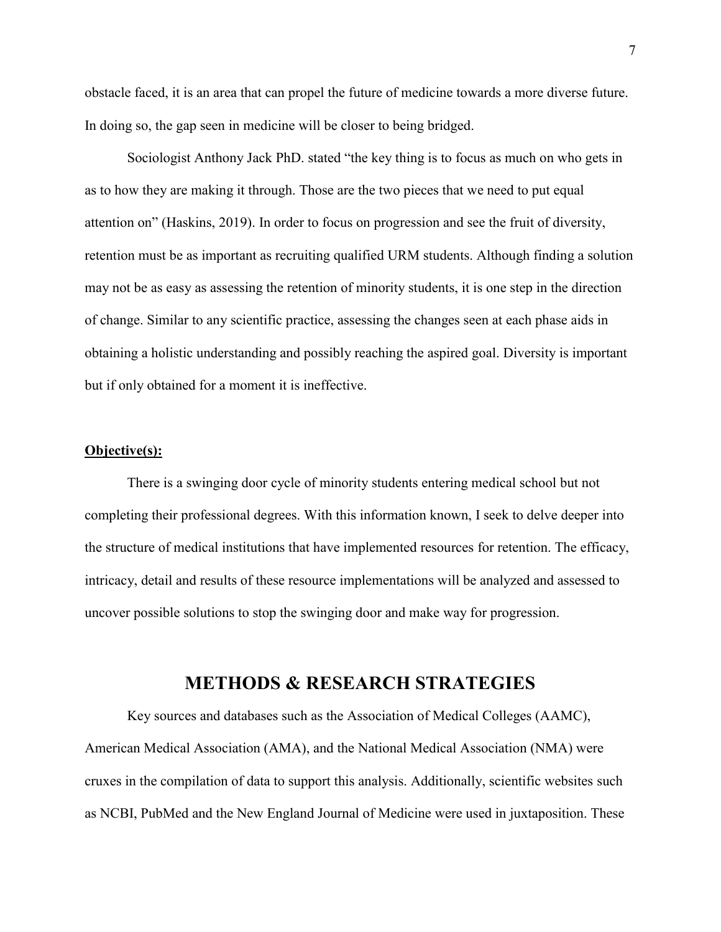obstacle faced, it is an area that can propel the future of medicine towards a more diverse future. In doing so, the gap seen in medicine will be closer to being bridged.

Sociologist Anthony Jack PhD. stated "the key thing is to focus as much on who gets in as to how they are making it through. Those are the two pieces that we need to put equal attention on" (Haskins, 2019). In order to focus on progression and see the fruit of diversity, retention must be as important as recruiting qualified URM students. Although finding a solution may not be as easy as assessing the retention of minority students, it is one step in the direction of change. Similar to any scientific practice, assessing the changes seen at each phase aids in obtaining a holistic understanding and possibly reaching the aspired goal. Diversity is important but if only obtained for a moment it is ineffective.

#### **Objective(s):**

There is a swinging door cycle of minority students entering medical school but not completing their professional degrees. With this information known, I seek to delve deeper into the structure of medical institutions that have implemented resources for retention. The efficacy, intricacy, detail and results of these resource implementations will be analyzed and assessed to uncover possible solutions to stop the swinging door and make way for progression.

### **METHODS & RESEARCH STRATEGIES**

Key sources and databases such as the Association of Medical Colleges (AAMC), American Medical Association (AMA), and the National Medical Association (NMA) were cruxes in the compilation of data to support this analysis. Additionally, scientific websites such as NCBI, PubMed and the New England Journal of Medicine were used in juxtaposition. These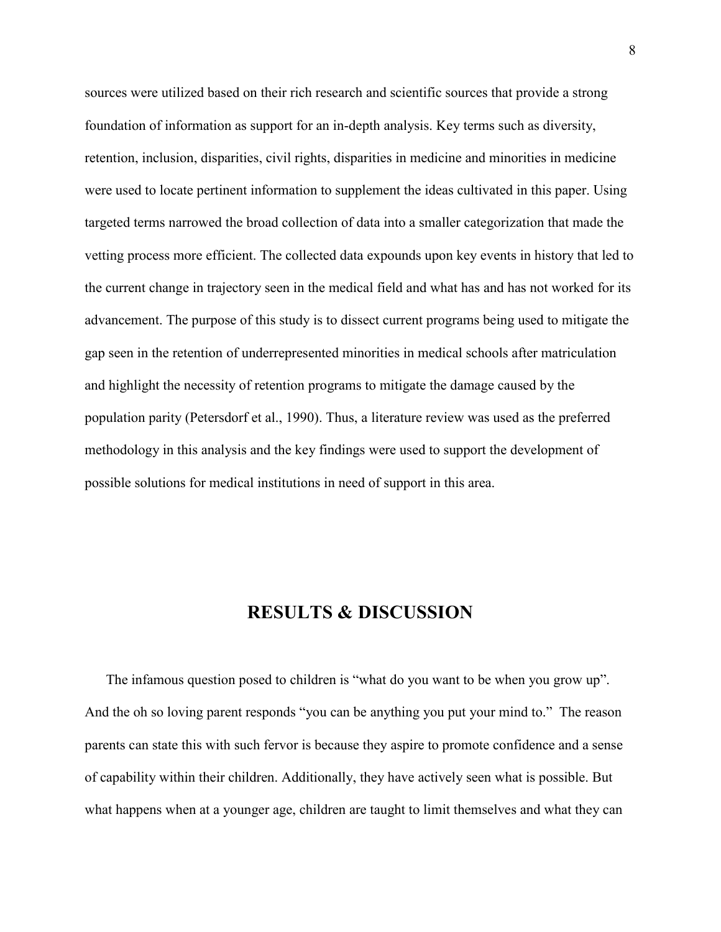sources were utilized based on their rich research and scientific sources that provide a strong foundation of information as support for an in-depth analysis. Key terms such as diversity, retention, inclusion, disparities, civil rights, disparities in medicine and minorities in medicine were used to locate pertinent information to supplement the ideas cultivated in this paper. Using targeted terms narrowed the broad collection of data into a smaller categorization that made the vetting process more efficient. The collected data expounds upon key events in history that led to the current change in trajectory seen in the medical field and what has and has not worked for its advancement. The purpose of this study is to dissect current programs being used to mitigate the gap seen in the retention of underrepresented minorities in medical schools after matriculation and highlight the necessity of retention programs to mitigate the damage caused by the population parity (Petersdorf et al., 1990). Thus, a literature review was used as the preferred methodology in this analysis and the key findings were used to support the development of possible solutions for medical institutions in need of support in this area.

## **RESULTS & DISCUSSION**

The infamous question posed to children is "what do you want to be when you grow up". And the oh so loving parent responds "you can be anything you put your mind to." The reason parents can state this with such fervor is because they aspire to promote confidence and a sense of capability within their children. Additionally, they have actively seen what is possible. But what happens when at a younger age, children are taught to limit themselves and what they can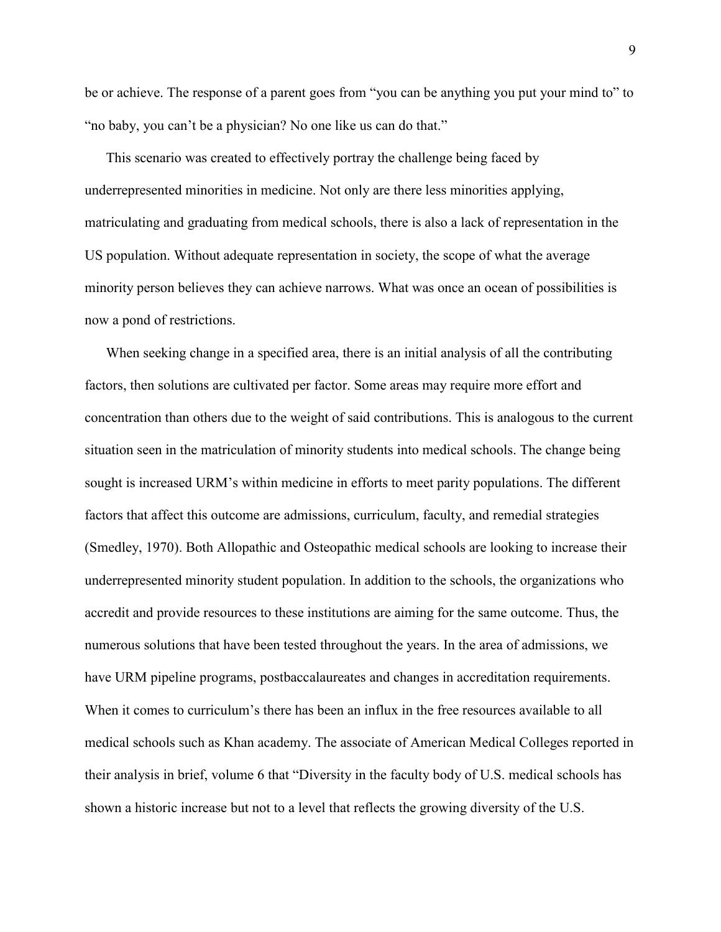be or achieve. The response of a parent goes from "you can be anything you put your mind to" to "no baby, you can't be a physician? No one like us can do that."

This scenario was created to effectively portray the challenge being faced by underrepresented minorities in medicine. Not only are there less minorities applying, matriculating and graduating from medical schools, there is also a lack of representation in the US population. Without adequate representation in society, the scope of what the average minority person believes they can achieve narrows. What was once an ocean of possibilities is now a pond of restrictions.

When seeking change in a specified area, there is an initial analysis of all the contributing factors, then solutions are cultivated per factor. Some areas may require more effort and concentration than others due to the weight of said contributions. This is analogous to the current situation seen in the matriculation of minority students into medical schools. The change being sought is increased URM's within medicine in efforts to meet parity populations. The different factors that affect this outcome are admissions, curriculum, faculty, and remedial strategies (Smedley, 1970). Both Allopathic and Osteopathic medical schools are looking to increase their underrepresented minority student population. In addition to the schools, the organizations who accredit and provide resources to these institutions are aiming for the same outcome. Thus, the numerous solutions that have been tested throughout the years. In the area of admissions, we have URM pipeline programs, postbaccalaureates and changes in accreditation requirements. When it comes to curriculum's there has been an influx in the free resources available to all medical schools such as Khan academy. The associate of American Medical Colleges reported in their analysis in brief, volume 6 that "Diversity in the faculty body of U.S. medical schools has shown a historic increase but not to a level that reflects the growing diversity of the U.S.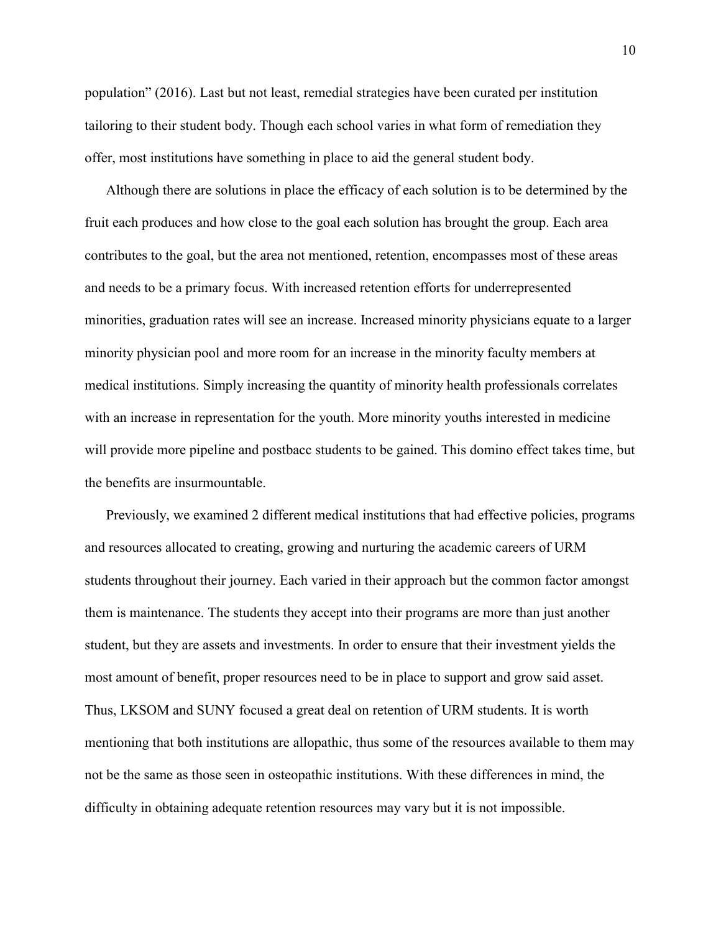population" (2016). Last but not least, remedial strategies have been curated per institution tailoring to their student body. Though each school varies in what form of remediation they offer, most institutions have something in place to aid the general student body.

Although there are solutions in place the efficacy of each solution is to be determined by the fruit each produces and how close to the goal each solution has brought the group. Each area contributes to the goal, but the area not mentioned, retention, encompasses most of these areas and needs to be a primary focus. With increased retention efforts for underrepresented minorities, graduation rates will see an increase. Increased minority physicians equate to a larger minority physician pool and more room for an increase in the minority faculty members at medical institutions. Simply increasing the quantity of minority health professionals correlates with an increase in representation for the youth. More minority youths interested in medicine will provide more pipeline and postbacc students to be gained. This domino effect takes time, but the benefits are insurmountable.

Previously, we examined 2 different medical institutions that had effective policies, programs and resources allocated to creating, growing and nurturing the academic careers of URM students throughout their journey. Each varied in their approach but the common factor amongst them is maintenance. The students they accept into their programs are more than just another student, but they are assets and investments. In order to ensure that their investment yields the most amount of benefit, proper resources need to be in place to support and grow said asset. Thus, LKSOM and SUNY focused a great deal on retention of URM students. It is worth mentioning that both institutions are allopathic, thus some of the resources available to them may not be the same as those seen in osteopathic institutions. With these differences in mind, the difficulty in obtaining adequate retention resources may vary but it is not impossible.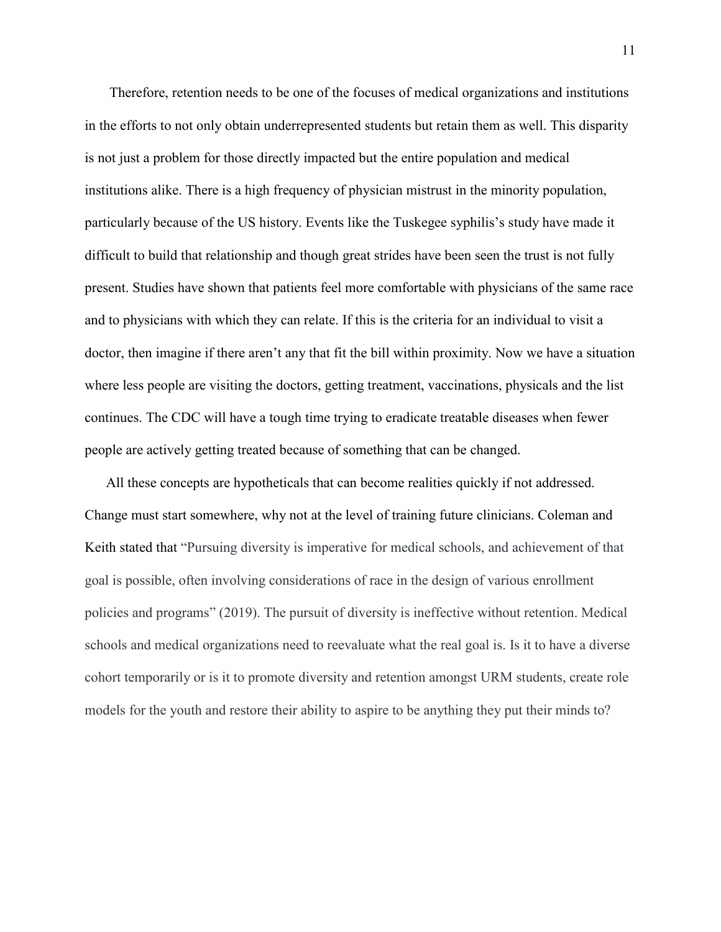Therefore, retention needs to be one of the focuses of medical organizations and institutions in the efforts to not only obtain underrepresented students but retain them as well. This disparity is not just a problem for those directly impacted but the entire population and medical institutions alike. There is a high frequency of physician mistrust in the minority population, particularly because of the US history. Events like the Tuskegee syphilis's study have made it difficult to build that relationship and though great strides have been seen the trust is not fully present. Studies have shown that patients feel more comfortable with physicians of the same race and to physicians with which they can relate. If this is the criteria for an individual to visit a doctor, then imagine if there aren't any that fit the bill within proximity. Now we have a situation where less people are visiting the doctors, getting treatment, vaccinations, physicals and the list continues. The CDC will have a tough time trying to eradicate treatable diseases when fewer people are actively getting treated because of something that can be changed.

All these concepts are hypotheticals that can become realities quickly if not addressed. Change must start somewhere, why not at the level of training future clinicians. Coleman and Keith stated that "Pursuing diversity is imperative for medical schools, and achievement of that goal is possible, often involving considerations of race in the design of various enrollment policies and programs" (2019). The pursuit of diversity is ineffective without retention. Medical schools and medical organizations need to reevaluate what the real goal is. Is it to have a diverse cohort temporarily or is it to promote diversity and retention amongst URM students, create role models for the youth and restore their ability to aspire to be anything they put their minds to?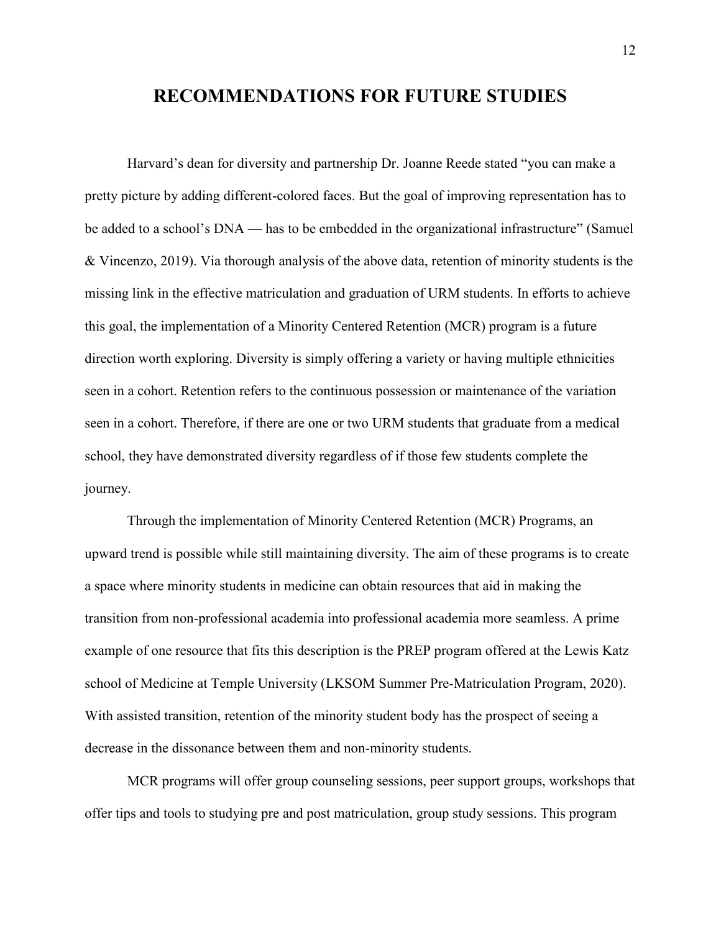### **RECOMMENDATIONS FOR FUTURE STUDIES**

Harvard's dean for diversity and partnership Dr. Joanne Reede stated "you can make a pretty picture by adding different-colored faces. But the goal of improving representation has to be added to a school's DNA — has to be embedded in the organizational infrastructure" (Samuel & Vincenzo, 2019). Via thorough analysis of the above data, retention of minority students is the missing link in the effective matriculation and graduation of URM students. In efforts to achieve this goal, the implementation of a Minority Centered Retention (MCR) program is a future direction worth exploring. Diversity is simply offering a variety or having multiple ethnicities seen in a cohort. Retention refers to the continuous possession or maintenance of the variation seen in a cohort. Therefore, if there are one or two URM students that graduate from a medical school, they have demonstrated diversity regardless of if those few students complete the journey.

Through the implementation of Minority Centered Retention (MCR) Programs, an upward trend is possible while still maintaining diversity. The aim of these programs is to create a space where minority students in medicine can obtain resources that aid in making the transition from non-professional academia into professional academia more seamless. A prime example of one resource that fits this description is the PREP program offered at the Lewis Katz school of Medicine at Temple University (LKSOM Summer Pre-Matriculation Program, 2020). With assisted transition, retention of the minority student body has the prospect of seeing a decrease in the dissonance between them and non-minority students.

MCR programs will offer group counseling sessions, peer support groups, workshops that offer tips and tools to studying pre and post matriculation, group study sessions. This program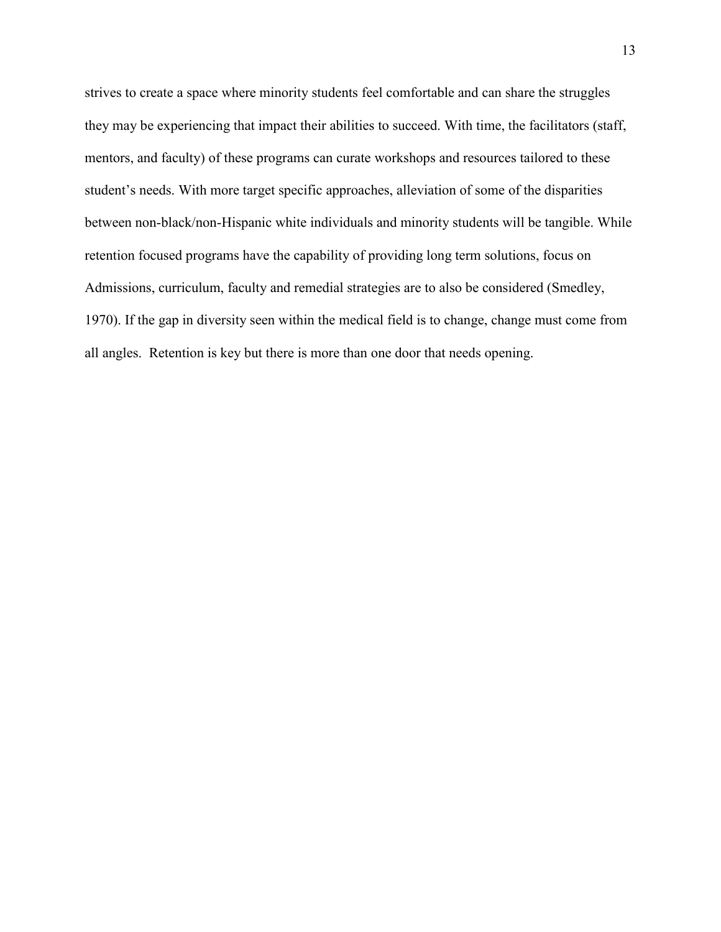strives to create a space where minority students feel comfortable and can share the struggles they may be experiencing that impact their abilities to succeed. With time, the facilitators (staff, mentors, and faculty) of these programs can curate workshops and resources tailored to these student's needs. With more target specific approaches, alleviation of some of the disparities between non-black/non-Hispanic white individuals and minority students will be tangible. While retention focused programs have the capability of providing long term solutions, focus on Admissions, curriculum, faculty and remedial strategies are to also be considered (Smedley, 1970). If the gap in diversity seen within the medical field is to change, change must come from all angles. Retention is key but there is more than one door that needs opening.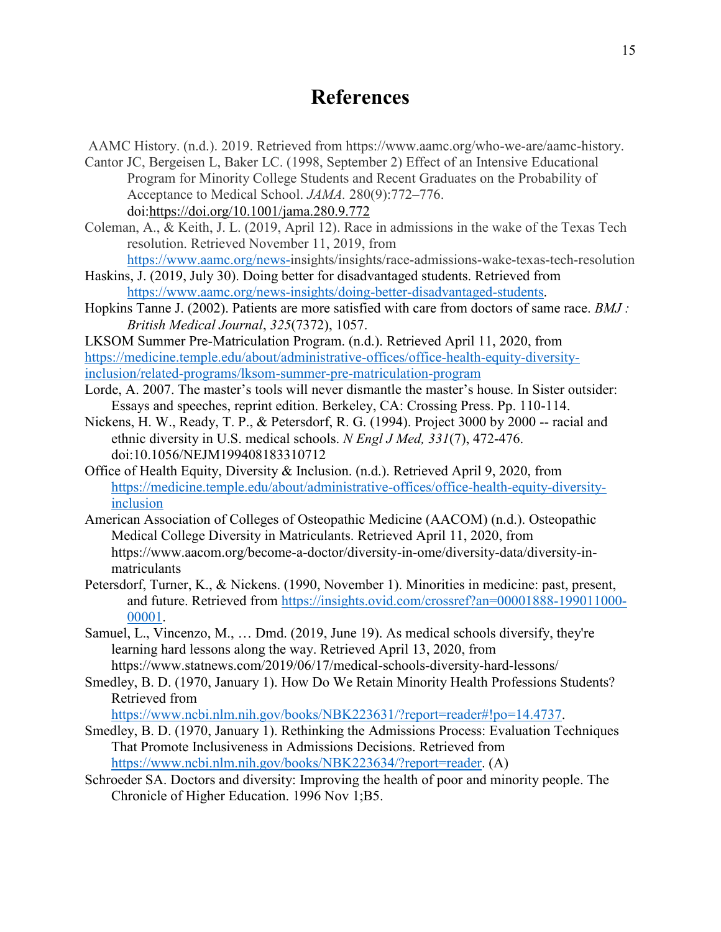## **References**

AAMC History. (n.d.). 2019. Retrieved from https://www.aamc.org/who-we-are/aamc-history.

- Cantor JC, Bergeisen L, Baker LC. (1998, September 2) Effect of an Intensive Educational Program for Minority College Students and Recent Graduates on the Probability of Acceptance to Medical School. *JAMA.* 280(9):772–776. doi[:https://doi.org/10.1001/jama.280.9.772](https://doi.org/10.1001/jama.280.9.772)
- Coleman, A., & Keith, J. L. (2019, April 12). Race in admissions in the wake of the Texas Tech resolution. Retrieved November 11, 2019, from

[https://www.aamc.org/news-i](https://www.aamc.org/news-)nsights/insights/race-admissions-wake-texas-tech-resolution Haskins, J. (2019, July 30). Doing better for disadvantaged students. Retrieved from

[https://www.aamc.org/news-insights/doing-better-disadvantaged-students.](https://www.aamc.org/news-insights/doing-better-disadvantaged-students)

Hopkins Tanne J. (2002). Patients are more satisfied with care from doctors of same race. *BMJ : British Medical Journal*, *325*(7372), 1057.

LKSOM Summer Pre-Matriculation Program. (n.d.). Retrieved April 11, 2020, from [https://medicine.temple.edu/about/administrative-offices/office-health-equity-diversity](https://medicine.temple.edu/about/administrative-offices/office-health-equity-diversity-inclusion/related-programs/lksom-summer-pre-matriculation-program)[inclusion/related-programs/lksom-summer-pre-matriculation-program](https://medicine.temple.edu/about/administrative-offices/office-health-equity-diversity-inclusion/related-programs/lksom-summer-pre-matriculation-program)

- Lorde, A. 2007. The master's tools will never dismantle the master's house. In Sister outsider: Essays and speeches, reprint edition. Berkeley, CA: Crossing Press. Pp. 110-114.
- Nickens, H. W., Ready, T. P., & Petersdorf, R. G. (1994). Project 3000 by 2000 -- racial and ethnic diversity in U.S. medical schools. *N Engl J Med, 331*(7), 472-476. doi:10.1056/NEJM199408183310712
- Office of Health Equity, Diversity & Inclusion. (n.d.). Retrieved April 9, 2020, from [https://medicine.temple.edu/about/administrative-offices/office-health-equity-diversity](https://medicine.temple.edu/about/administrative-offices/office-health-equity-diversity-inclusion)[inclusion](https://medicine.temple.edu/about/administrative-offices/office-health-equity-diversity-inclusion)
- American Association of Colleges of Osteopathic Medicine (AACOM) (n.d.). Osteopathic Medical College Diversity in Matriculants. Retrieved April 11, 2020, from https://www.aacom.org/become-a-doctor/diversity-in-ome/diversity-data/diversity-inmatriculants
- Petersdorf, Turner, K., & Nickens. (1990, November 1). Minorities in medicine: past, present, and future. Retrieved from [https://insights.ovid.com/crossref?an=00001888-199011000-](https://insights.ovid.com/crossref?an=00001888-199011000-00001) [00001.](https://insights.ovid.com/crossref?an=00001888-199011000-00001)
- Samuel, L., Vincenzo, M., … Dmd. (2019, June 19). As medical schools diversify, they're learning hard lessons along the way. Retrieved April 13, 2020, from https://www.statnews.com/2019/06/17/medical-schools-diversity-hard-lessons/
- Smedley, B. D. (1970, January 1). How Do We Retain Minority Health Professions Students? Retrieved from

[https://www.ncbi.nlm.nih.gov/books/NBK223631/?report=reader#!po=14.4737.](https://www.ncbi.nlm.nih.gov/books/NBK223631/?report=reader#!po=14.4737)

- Smedley, B. D. (1970, January 1). Rethinking the Admissions Process: Evaluation Techniques That Promote Inclusiveness in Admissions Decisions. Retrieved from [https://www.ncbi.nlm.nih.gov/books/NBK223634/?report=reader.](https://www.ncbi.nlm.nih.gov/books/NBK223634/?report=reader) (A)
- Schroeder SA. Doctors and diversity: Improving the health of poor and minority people. The Chronicle of Higher Education. 1996 Nov 1;B5.